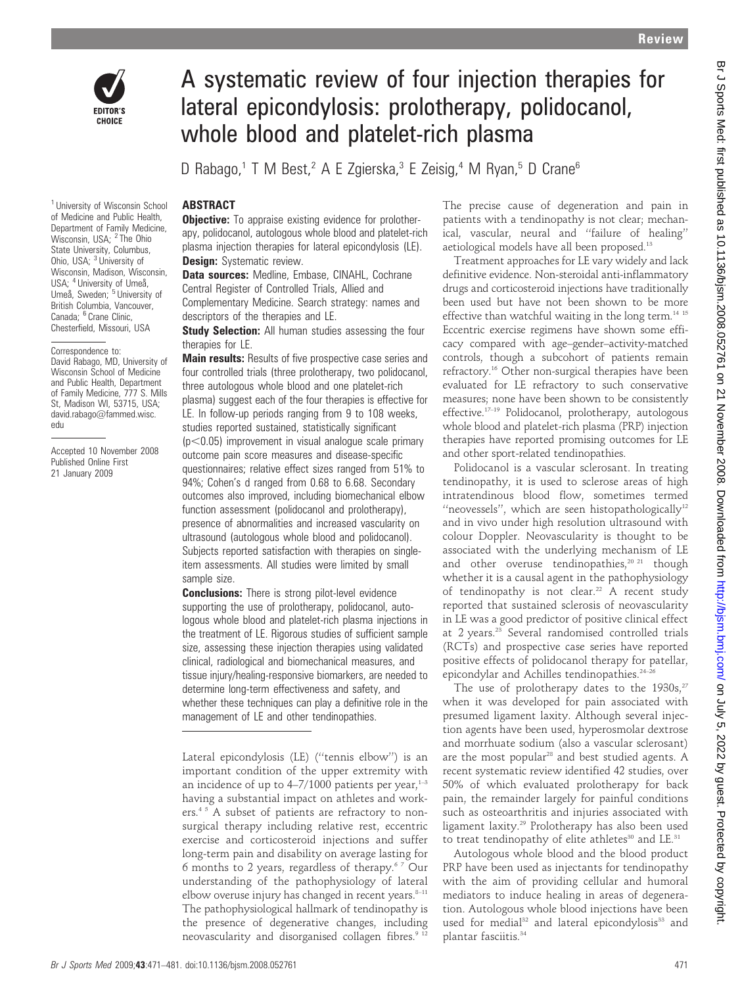

<sup>1</sup> University of Wisconsin School of Medicine and Public Health, Department of Family Medicine, Wisconsin, USA; <sup>2</sup> The Ohio State University, Columbus, Ohio, USA: <sup>3</sup> University of Wisconsin, Madison, Wisconsin,  $USA<sup>4</sup>$  University of Umea<sup>®</sup> Umeå, Sweden; <sup>5</sup> University of British Columbia, Vancouver, Canada; <sup>6</sup> Crane Clinic, Chesterfield, Missouri, USA

Correspondence to: David Rabago, MD, University of Wisconsin School of Medicine and Public Health, Department of Family Medicine, 777 S. Mills St, Madison WI, 53715, USA; david.rabago@fammed.wisc. edu

Accepted 10 November 2008 Published Online First 21 January 2009

# A systematic review of four injection therapies for lateral epicondylosis: prolotherapy, polidocanol, whole blood and platelet-rich plasma

D Rabago,<sup>1</sup> T M Best,<sup>2</sup> A E Zgierska,<sup>3</sup> E Zeisig,<sup>4</sup> M Ryan,<sup>5</sup> D Crane<sup>6</sup>

# ABSTRACT

**Objective:** To appraise existing evidence for prolotherapy, polidocanol, autologous whole blood and platelet-rich plasma injection therapies for lateral epicondylosis (LE). **Design:** Systematic review.

Data sources: Medline, Embase, CINAHL, Cochrane Central Register of Controlled Trials, Allied and Complementary Medicine. Search strategy: names and descriptors of the therapies and LE.

**Study Selection:** All human studies assessing the four therapies for LE.

**Main results:** Results of five prospective case series and four controlled trials (three prolotherapy, two polidocanol, three autologous whole blood and one platelet-rich plasma) suggest each of the four therapies is effective for LE. In follow-up periods ranging from 9 to 108 weeks, studies reported sustained, statistically significant  $(p<0.05)$  improvement in visual analogue scale primary outcome pain score measures and disease-specific questionnaires; relative effect sizes ranged from 51% to 94%; Cohen's d ranged from 0.68 to 6.68. Secondary outcomes also improved, including biomechanical elbow function assessment (polidocanol and prolotherapy), presence of abnormalities and increased vascularity on ultrasound (autologous whole blood and polidocanol). Subjects reported satisfaction with therapies on singleitem assessments. All studies were limited by small sample size.

**Conclusions:** There is strong pilot-level evidence supporting the use of prolotherapy, polidocanol, autologous whole blood and platelet-rich plasma injections in the treatment of LE. Rigorous studies of sufficient sample size, assessing these injection therapies using validated clinical, radiological and biomechanical measures, and tissue injury/healing-responsive biomarkers, are needed to determine long-term effectiveness and safety, and whether these techniques can play a definitive role in the management of LE and other tendinopathies.

Lateral epicondylosis (LE) (''tennis elbow'') is an important condition of the upper extremity with an incidence of up to  $4-7/1000$  patients per year,<sup>1-3</sup> having a substantial impact on athletes and workers.<sup>45</sup> A subset of patients are refractory to nonsurgical therapy including relative rest, eccentric exercise and corticosteroid injections and suffer long-term pain and disability on average lasting for 6 months to 2 years, regardless of therapy.<sup>67</sup> Our understanding of the pathophysiology of lateral elbow overuse injury has changed in recent years.<sup>8-11</sup> The pathophysiological hallmark of tendinopathy is the presence of degenerative changes, including neovascularity and disorganised collagen fibres.<sup>9 12</sup>

The precise cause of degeneration and pain in patients with a tendinopathy is not clear; mechanical, vascular, neural and ''failure of healing'' aetiological models have all been proposed.<sup>13</sup>

Treatment approaches for LE vary widely and lack definitive evidence. Non-steroidal anti-inflammatory drugs and corticosteroid injections have traditionally been used but have not been shown to be more effective than watchful waiting in the long term.<sup>14 15</sup> Eccentric exercise regimens have shown some efficacy compared with age–gender–activity-matched controls, though a subcohort of patients remain refractory.16 Other non-surgical therapies have been evaluated for LE refractory to such conservative measures; none have been shown to be consistently effective.17–19 Polidocanol, prolotherapy, autologous whole blood and platelet-rich plasma (PRP) injection therapies have reported promising outcomes for LE and other sport-related tendinopathies.

Polidocanol is a vascular sclerosant. In treating tendinopathy, it is used to sclerose areas of high intratendinous blood flow, sometimes termed "neovessels", which are seen histopathologically $12$ and in vivo under high resolution ultrasound with colour Doppler. Neovascularity is thought to be associated with the underlying mechanism of LE and other overuse tendinopathies, $20 21$  though whether it is a causal agent in the pathophysiology of tendinopathy is not clear.<sup>22</sup> A recent study reported that sustained sclerosis of neovascularity in LE was a good predictor of positive clinical effect at 2 years.23 Several randomised controlled trials (RCTs) and prospective case series have reported positive effects of polidocanol therapy for patellar, epicondylar and Achilles tendinopathies.<sup>24–26</sup>

The use of prolotherapy dates to the  $1930s$ ,<sup>27</sup> when it was developed for pain associated with presumed ligament laxity. Although several injection agents have been used, hyperosmolar dextrose and morrhuate sodium (also a vascular sclerosant) are the most popular<sup>28</sup> and best studied agents. A recent systematic review identified 42 studies, over 50% of which evaluated prolotherapy for back pain, the remainder largely for painful conditions such as osteoarthritis and injuries associated with ligament laxity.29 Prolotherapy has also been used to treat tendinopathy of elite athletes<sup>30</sup> and LE.<sup>31</sup>

Autologous whole blood and the blood product PRP have been used as injectants for tendinopathy with the aim of providing cellular and humoral mediators to induce healing in areas of degeneration. Autologous whole blood injections have been used for medial<sup>32</sup> and lateral epicondylosis<sup>33</sup> and plantar fasciitis.<sup>34</sup>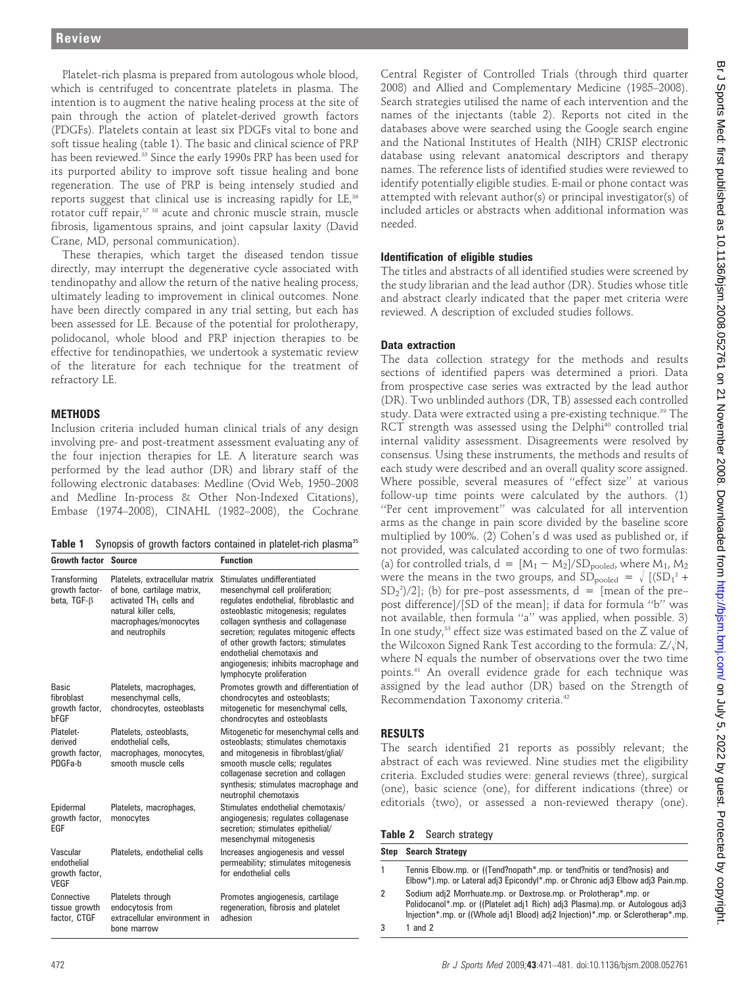Platelet-rich plasma is prepared from autologous whole blood, which is centrifuged to concentrate platelets in plasma. The intention is to augment the native healing process at the site of pain through the action of platelet-derived growth factors (PDGFs). Platelets contain at least six PDGFs vital to bone and soft tissue healing (table 1). The basic and clinical science of PRP has been reviewed.<sup>35</sup> Since the early 1990s PRP has been used for its purported ability to improve soft tissue healing and bone regeneration. The use of PRP is being intensely studied and reports suggest that clinical use is increasing rapidly for  $LE$ ,<sup>36</sup> rotator cuff repair,37 38 acute and chronic muscle strain, muscle fibrosis, ligamentous sprains, and joint capsular laxity (David Crane, MD, personal communication).

These therapies, which target the diseased tendon tissue directly, may interrupt the degenerative cycle associated with tendinopathy and allow the return of the native healing process, ultimately leading to improvement in clinical outcomes. None have been directly compared in any trial setting, but each has been assessed for LE. Because of the potential for prolotherapy, polidocanol, whole blood and PRP injection therapies to be effective for tendinopathies, we undertook a systematic review of the literature for each technique for the treatment of refractory LE.

# **METHODS**

Inclusion criteria included human clinical trials of any design involving pre- and post-treatment assessment evaluating any of the four injection therapies for LE. A literature search was performed by the lead author (DR) and library staff of the following electronic databases: Medline (Ovid Web, 1950–2008 and Medline In-process & Other Non-Indexed Citations), Embase (1974–2008), CINAHL (1982–2008), the Cochrane

|  | Table 1 Synopsis of growth factors contained in platelet-rich plasma <sup>35</sup> |  |  |  |  |  |  |
|--|------------------------------------------------------------------------------------|--|--|--|--|--|--|
|--|------------------------------------------------------------------------------------|--|--|--|--|--|--|

| <b>Growth factor Source</b>                              |                                                                                                                                                                           | <b>Function</b>                                                                                                                                                                                                                                                                                                                                                            |
|----------------------------------------------------------|---------------------------------------------------------------------------------------------------------------------------------------------------------------------------|----------------------------------------------------------------------------------------------------------------------------------------------------------------------------------------------------------------------------------------------------------------------------------------------------------------------------------------------------------------------------|
| Transforming<br>growth factor-<br>beta, $TGF-\beta$      | Platelets, extracellular matrix<br>of bone, cartilage matrix,<br>activated TH <sub>1</sub> cells and<br>natural killer cells.<br>macrophages/monocytes<br>and neutrophils | Stimulates undifferentiated<br>mesenchymal cell proliferation;<br>regulates endothelial, fibroblastic and<br>osteoblastic mitogenesis; regulates<br>collagen synthesis and collagenase<br>secretion; regulates mitogenic effects<br>of other growth factors; stimulates<br>endothelial chemotaxis and<br>angiogenesis; inhibits macrophage and<br>lymphocyte proliferation |
| Basic<br>fibroblast<br>growth factor,<br>bFGF            | Platelets, macrophages,<br>mesenchymal cells,<br>chondrocytes, osteoblasts                                                                                                | Promotes growth and differentiation of<br>chondrocytes and osteoblasts;<br>mitogenetic for mesenchymal cells,<br>chondrocytes and osteoblasts                                                                                                                                                                                                                              |
| Platelet-<br>derived<br>growth factor,<br>PDGFa-b        | Platelets, osteoblasts,<br>endothelial cells.<br>macrophages, monocytes,<br>smooth muscle cells                                                                           | Mitogenetic for mesenchymal cells and<br>osteoblasts: stimulates chemotaxis<br>and mitogenesis in fibroblast/glial/<br>smooth muscle cells; regulates<br>collagenase secretion and collagen<br>synthesis; stimulates macrophage and<br>neutrophil chemotaxis                                                                                                               |
| Epidermal<br>growth factor,<br>EGF                       | Platelets, macrophages,<br>monocytes                                                                                                                                      | Stimulates endothelial chemotaxis/<br>angiogenesis; regulates collagenase<br>secretion; stimulates epithelial/<br>mesenchymal mitogenesis                                                                                                                                                                                                                                  |
| Vascular<br>endothelial<br>growth factor,<br><b>VFGF</b> | Platelets, endothelial cells                                                                                                                                              | Increases angiogenesis and vessel<br>permeability; stimulates mitogenesis<br>for endothelial cells                                                                                                                                                                                                                                                                         |
| Connective<br>tissue growth<br>factor, CTGF              | Platelets through<br>endocytosis from<br>extracellular environment in<br>bone marrow                                                                                      | Promotes angiogenesis, cartilage<br>regeneration, fibrosis and platelet<br>adhesion                                                                                                                                                                                                                                                                                        |

Central Register of Controlled Trials (through third quarter 2008) and Allied and Complementary Medicine (1985–2008). Search strategies utilised the name of each intervention and the names of the injectants (table 2). Reports not cited in the databases above were searched using the Google search engine and the National Institutes of Health (NIH) CRISP electronic database using relevant anatomical descriptors and therapy names. The reference lists of identified studies were reviewed to identify potentially eligible studies. E-mail or phone contact was attempted with relevant author(s) or principal investigator(s) of included articles or abstracts when additional information was needed.

# Identification of eligible studies

The titles and abstracts of all identified studies were screened by the study librarian and the lead author (DR). Studies whose title and abstract clearly indicated that the paper met criteria were reviewed. A description of excluded studies follows.

# Data extraction

The data collection strategy for the methods and results sections of identified papers was determined a priori. Data from prospective case series was extracted by the lead author (DR). Two unblinded authors (DR, TB) assessed each controlled study. Data were extracted using a pre-existing technique.<sup>39</sup> The RCT strength was assessed using the Delphi<sup>40</sup> controlled trial internal validity assessment. Disagreements were resolved by consensus. Using these instruments, the methods and results of each study were described and an overall quality score assigned. Where possible, several measures of ''effect size'' at various follow-up time points were calculated by the authors. (1) ''Per cent improvement'' was calculated for all intervention arms as the change in pain score divided by the baseline score multiplied by 100%. (2) Cohen's d was used as published or, if not provided, was calculated according to one of two formulas: (a) for controlled trials,  $d = [M_1 - M_2]/SD_{pooled}$ , where  $M_1$ ,  $M_2$ were the means in the two groups, and  $SD_{pooled} = \sqrt{[(SD_1^2 +$  $SD_2^2$ /2]; (b) for pre–post assessments, d = [mean of the pre– post difference]/[SD of the mean]; if data for formula ''b'' was not available, then formula ''a'' was applied, when possible. 3) In one study, $33$  effect size was estimated based on the Z value of the Wilcoxon Signed Rank Test according to the formula:  $Z/\sqrt{N}$ , where N equals the number of observations over the two time points.41 An overall evidence grade for each technique was assigned by the lead author (DR) based on the Strength of Recommendation Taxonomy criteria.42

# RESULTS

The search identified 21 reports as possibly relevant; the abstract of each was reviewed. Nine studies met the eligibility criteria. Excluded studies were: general reviews (three), surgical (one), basic science (one), for different indications (three) or editorials (two), or assessed a non-reviewed therapy (one).

#### Table 2 Search strategy

| Tennis Elbow.mp. or ((Tend?nopath*.mp. or tend?nitis or tend?nosis) and<br>Elbow*).mp. or Lateral adj3 Epicondyl*.mp. or Chronic adj3 Elbow adj3 Pain.mp.                                                                            |
|--------------------------------------------------------------------------------------------------------------------------------------------------------------------------------------------------------------------------------------|
| Sodium adj2 Morrhuate.mp. or Dextrose.mp. or Prolotherap*.mp. or<br>Polidocanol*.mp. or ((Platelet adj1 Rich) adj3 Plasma).mp. or Autologous adj3<br>Injection*.mp. or ((Whole adj1 Blood) adj2 Injection)*.mp. or Sclerotherap*.mp. |

3 1 and 2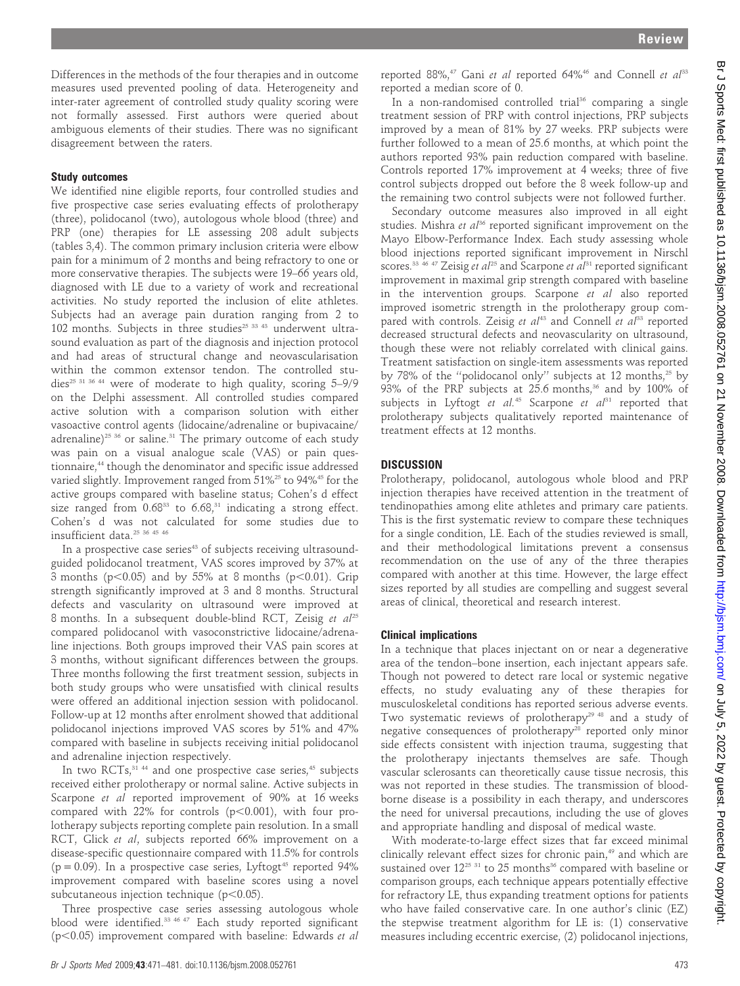Differences in the methods of the four therapies and in outcome measures used prevented pooling of data. Heterogeneity and inter-rater agreement of controlled study quality scoring were not formally assessed. First authors were queried about ambiguous elements of their studies. There was no significant disagreement between the raters.

#### Study outcomes

We identified nine eligible reports, four controlled studies and five prospective case series evaluating effects of prolotherapy (three), polidocanol (two), autologous whole blood (three) and PRP (one) therapies for LE assessing 208 adult subjects (tables 3,4). The common primary inclusion criteria were elbow pain for a minimum of 2 months and being refractory to one or more conservative therapies. The subjects were 19–66 years old, diagnosed with LE due to a variety of work and recreational activities. No study reported the inclusion of elite athletes. Subjects had an average pain duration ranging from 2 to 102 months. Subjects in three studies<sup>25 33 43</sup> underwent ultrasound evaluation as part of the diagnosis and injection protocol and had areas of structural change and neovascularisation within the common extensor tendon. The controlled studies<sup>25 31 36 44</sup> were of moderate to high quality, scoring  $5-9/9$ on the Delphi assessment. All controlled studies compared active solution with a comparison solution with either vasoactive control agents (lidocaine/adrenaline or bupivacaine/ adrenaline)<sup>25 36</sup> or saline.<sup>31</sup> The primary outcome of each study was pain on a visual analogue scale (VAS) or pain questionnaire,<sup>44</sup> though the denominator and specific issue addressed varied slightly. Improvement ranged from 51%25 to 94%45 for the active groups compared with baseline status; Cohen's d effect size ranged from  $0.68^{33}$  to  $6.68^{31}$  indicating a strong effect. Cohen's d was not calculated for some studies due to insufficient data.25 36 45 46

In a prospective case series<sup>43</sup> of subjects receiving ultrasoundguided polidocanol treatment, VAS scores improved by 37% at 3 months ( $p<0.05$ ) and by 55% at 8 months ( $p<0.01$ ). Grip strength significantly improved at 3 and 8 months. Structural defects and vascularity on ultrasound were improved at 8 months. In a subsequent double-blind RCT, Zeisig et  $al^{25}$ compared polidocanol with vasoconstrictive lidocaine/adrenaline injections. Both groups improved their VAS pain scores at 3 months, without significant differences between the groups. Three months following the first treatment session, subjects in both study groups who were unsatisfied with clinical results were offered an additional injection session with polidocanol. Follow-up at 12 months after enrolment showed that additional polidocanol injections improved VAS scores by 51% and 47% compared with baseline in subjects receiving initial polidocanol and adrenaline injection respectively.

In two RCTs, $31$ <sup>44</sup> and one prospective case series, $45$  subjects received either prolotherapy or normal saline. Active subjects in Scarpone et al reported improvement of 90% at 16 weeks compared with 22% for controls ( $p<0.001$ ), with four prolotherapy subjects reporting complete pain resolution. In a small RCT, Glick et al, subjects reported 66% improvement on a disease-specific questionnaire compared with 11.5% for controls ( $p = 0.09$ ). In a prospective case series, Lyftogt<sup>45</sup> reported 94% improvement compared with baseline scores using a novel subcutaneous injection technique ( $p<0.05$ ).

Three prospective case series assessing autologous whole blood were identified.<sup>33 46 47</sup> Each study reported significant ( $p$ <0.05) improvement compared with baseline: Edwards et al

reported 88%,<sup>47</sup> Gani et al reported 64%<sup>46</sup> and Connell et  $aI^{33}$ reported a median score of 0.

In a non-randomised controlled trial<sup>36</sup> comparing a single treatment session of PRP with control injections, PRP subjects improved by a mean of 81% by 27 weeks. PRP subjects were further followed to a mean of 25.6 months, at which point the authors reported 93% pain reduction compared with baseline. Controls reported 17% improvement at 4 weeks; three of five control subjects dropped out before the 8 week follow-up and the remaining two control subjects were not followed further.

Secondary outcome measures also improved in all eight studies. Mishra et  $a^{136}$  reported significant improvement on the Mayo Elbow-Performance Index. Each study assessing whole blood injections reported significant improvement in Nirschl scores.<sup>33 46 47</sup> Zeisig et al<sup>25</sup> and Scarpone et al<sup>31</sup> reported significant improvement in maximal grip strength compared with baseline in the intervention groups. Scarpone et al also reported improved isometric strength in the prolotherapy group compared with controls. Zeisig et  $aI^{43}$  and Connell et  $aI^{33}$  reported decreased structural defects and neovascularity on ultrasound, though these were not reliably correlated with clinical gains. Treatment satisfaction on single-item assessments was reported by 78% of the "polidocanol only" subjects at 12 months,<sup>25</sup> by 93% of the PRP subjects at 25.6 months,<sup>36</sup> and by 100% of subjects in Lyftogt et  $al.^{45}$  Scarpone et  $al^{31}$  reported that prolotherapy subjects qualitatively reported maintenance of treatment effects at 12 months.

#### **DISCUSSION**

Prolotherapy, polidocanol, autologous whole blood and PRP injection therapies have received attention in the treatment of tendinopathies among elite athletes and primary care patients. This is the first systematic review to compare these techniques for a single condition, LE. Each of the studies reviewed is small, and their methodological limitations prevent a consensus recommendation on the use of any of the three therapies compared with another at this time. However, the large effect sizes reported by all studies are compelling and suggest several areas of clinical, theoretical and research interest.

#### Clinical implications

In a technique that places injectant on or near a degenerative area of the tendon–bone insertion, each injectant appears safe. Though not powered to detect rare local or systemic negative effects, no study evaluating any of these therapies for musculoskeletal conditions has reported serious adverse events. Two systematic reviews of prolotherapy<sup>29 48</sup> and a study of negative consequences of prolotherapy<sup>28</sup> reported only minor side effects consistent with injection trauma, suggesting that the prolotherapy injectants themselves are safe. Though vascular sclerosants can theoretically cause tissue necrosis, this was not reported in these studies. The transmission of bloodborne disease is a possibility in each therapy, and underscores the need for universal precautions, including the use of gloves and appropriate handling and disposal of medical waste.

With moderate-to-large effect sizes that far exceed minimal clinically relevant effect sizes for chronic pain,<sup>49</sup> and which are sustained over  $12^{25}$  <sup>31</sup> to 25 months<sup>36</sup> compared with baseline or comparison groups, each technique appears potentially effective for refractory LE, thus expanding treatment options for patients who have failed conservative care. In one author's clinic (EZ) the stepwise treatment algorithm for LE is: (1) conservative measures including eccentric exercise, (2) polidocanol injections,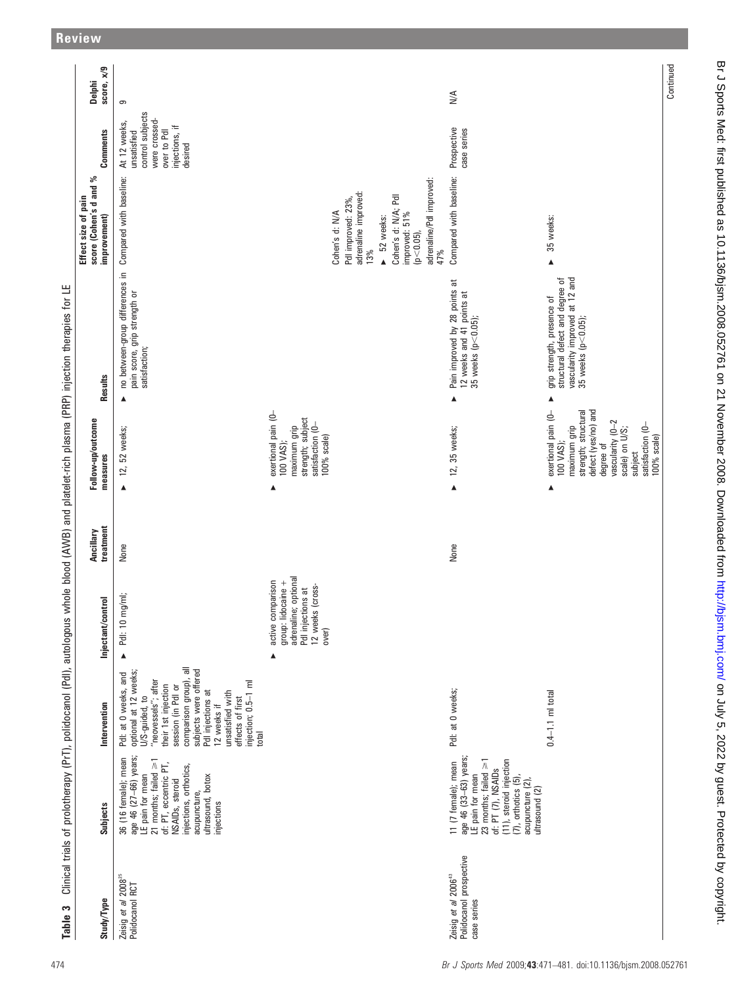| S<br>Table                                                                | Clinical trials of prolotherapy (PrT), polidocanol (Pdl), autologous                                                                                                                                                     |                                                                                                                                                                                                                                                                                                    |                                                                                                                                       |                        |                                                                                                                                                                                                                      | whole blood (AWB) and platelet-rich plasma (PRP) injection therapies for LE                                                               |                                                                                                                                                                               |                                                                                                              |                      |
|---------------------------------------------------------------------------|--------------------------------------------------------------------------------------------------------------------------------------------------------------------------------------------------------------------------|----------------------------------------------------------------------------------------------------------------------------------------------------------------------------------------------------------------------------------------------------------------------------------------------------|---------------------------------------------------------------------------------------------------------------------------------------|------------------------|----------------------------------------------------------------------------------------------------------------------------------------------------------------------------------------------------------------------|-------------------------------------------------------------------------------------------------------------------------------------------|-------------------------------------------------------------------------------------------------------------------------------------------------------------------------------|--------------------------------------------------------------------------------------------------------------|----------------------|
| Study/Type                                                                | <b>Subjects</b>                                                                                                                                                                                                          | Intervention                                                                                                                                                                                                                                                                                       | Injectant/control                                                                                                                     | treatment<br>Ancillary | Follow-up/outcome<br>measures                                                                                                                                                                                        | <b>Results</b>                                                                                                                            | score (Cohen's d and %<br>Effect size of pain<br>improvement)                                                                                                                 | <b>Comments</b>                                                                                              | score, x/9<br>Delphi |
| Zeisig <i>et al</i> 2008 <sup>25</sup><br>Polidocanol RCT                 | age 46 (27–66) years;<br>LE pain for mean<br>36 (16 female); mean<br>21 months; failed $\geq 1$<br>of: PT, eccentric PT,<br>injections, orthotics,<br>ultrasound, botox<br>NSAIDs, steroid<br>acupuncture,<br>injections | comparison group), all<br>subjects were offered<br>optional at 12 weeks;<br>Pdl: at 0 weeks, and<br>"neovessels"; after<br>injection; 0.5-1 ml<br>their 1st injection<br>session (in Pdl or<br>Pdl injections at<br>unsatisfied with<br>U/S-guided, to<br>effects of first<br>12 weeks if<br>total | Pd: 10 mg/ml;<br>$\blacktriangle$                                                                                                     | None                   | 12, 52 weeks;<br>$\blacktriangle$                                                                                                                                                                                    | no between-group differences in<br>pain score, grip strength or<br>satisfaction;<br>$\blacktriangle$                                      | Compared with baseline:                                                                                                                                                       | control subjects<br>were crossed-<br>At 12 weeks,<br>injections, if<br>over to Pdl<br>unsatisfied<br>desired | ၜ                    |
|                                                                           |                                                                                                                                                                                                                          |                                                                                                                                                                                                                                                                                                    | adrenaline; optional<br>Pdl injections at<br>12 weeks (cross-<br>active comparison<br>group: lidocaine +<br>over)<br>$\blacktriangle$ |                        | exertional pain (0-<br>strength; subject<br>satisfaction (0-<br>maximum grip<br>100% scale)<br>100 VAS);<br>$\blacktriangle$                                                                                         |                                                                                                                                           | adrenaline/PdI improved:<br>adrenaline improved:<br>Cohen's d: N/A; Pdl<br>improved: 51%<br>Pdl improved: 23%,<br>Cohen's d: N/A<br>52 weeks:<br>$(p < 0.05)$ ,<br>13%<br>47% |                                                                                                              |                      |
| Polidocanol prospective<br>Zeisig et al 2006 <sup>43</sup><br>case series | age 46 (33-63) years;<br>23 months; failed $\geq 1$<br>of: PT (7), NSAIDs<br>(11), steroid injection<br>11 (7 female); mean<br>LE pain for mean<br>$(7)$ , orthotics $(5)$ ,<br>acupuncture (2),<br>ultrasound (2)       | Pd: at 0 weeks;                                                                                                                                                                                                                                                                                    |                                                                                                                                       | None                   | 12, 35 weeks;<br>$\blacktriangle$                                                                                                                                                                                    | Pain improved by 28 points at 12 weeks and 41 points at 35 weeks ( $p < 0.05$ );<br>$\blacktriangle$                                      | Compared with baseline:                                                                                                                                                       | Prospective<br>case series                                                                                   | $M^{\mathbf{A}}$     |
|                                                                           |                                                                                                                                                                                                                          | $0.4 - 1.1$ ml total                                                                                                                                                                                                                                                                               |                                                                                                                                       |                        | defect (yes/no) and<br>exertional pain (0-<br>strength; structural<br>vascularity (0-2<br>satisfaction (0-<br>maximum grip<br>scale) on U/S;<br>100% scale)<br>100 VAS);<br>degree of<br>subject<br>$\blacktriangle$ | structural defect and degree of<br>vascularity improved at 12 and<br>35 weeks (p<0.05);<br>grip strength, presence of<br>$\blacktriangle$ | 35 weeks:<br>▲                                                                                                                                                                |                                                                                                              |                      |
|                                                                           |                                                                                                                                                                                                                          |                                                                                                                                                                                                                                                                                                    |                                                                                                                                       |                        |                                                                                                                                                                                                                      |                                                                                                                                           |                                                                                                                                                                               |                                                                                                              | Continued            |

# Review

Br J Sports Med: first published as 10.1136/bjsm.2008.052761 on 21 November 2008. Downloaded from http://bjsm.bmj.com/ on July 5, 2022 by guest. Protected by copyright. Br J Sports Med: first published as 10.1136/bjsm.2008.052761 on 21 November 2008. Downloaded from m <http://bjsm.bmj.com/> on July 5, 2022 by guest. Protected by copyright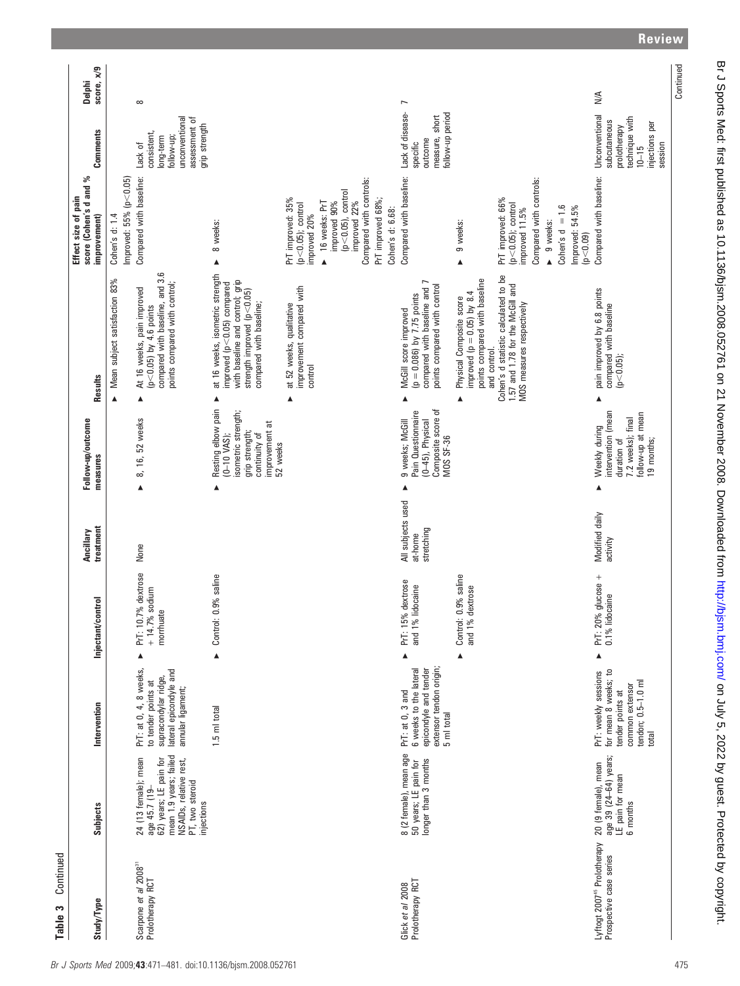| Continued<br>Table 3                                               |                                                                                                                                                      |                                                                                                                      |                                                                         | Ancillary                                  | Follow-up/outcome                                                                                                                  |                                                                                                                                                                | score (Cohen's d and %<br>Effect size of pain                                                                                                                                        |                                                                                                            | Delphi               |
|--------------------------------------------------------------------|------------------------------------------------------------------------------------------------------------------------------------------------------|----------------------------------------------------------------------------------------------------------------------|-------------------------------------------------------------------------|--------------------------------------------|------------------------------------------------------------------------------------------------------------------------------------|----------------------------------------------------------------------------------------------------------------------------------------------------------------|--------------------------------------------------------------------------------------------------------------------------------------------------------------------------------------|------------------------------------------------------------------------------------------------------------|----------------------|
| <b>Study/Type</b>                                                  | <b>Subjects</b>                                                                                                                                      | Intervention                                                                                                         | Injectant/control                                                       | treatment                                  | measures                                                                                                                           | <b>Results</b>                                                                                                                                                 | improvement)                                                                                                                                                                         | Comments                                                                                                   | score, x/9           |
|                                                                    |                                                                                                                                                      |                                                                                                                      |                                                                         |                                            |                                                                                                                                    | Mean subject satisfaction 83%<br>$\blacktriangle$                                                                                                              | Improved: $55\%$ ( $p<0.05$ )<br>Cohen's d: 1.4                                                                                                                                      |                                                                                                            |                      |
| Scarpone et al 2008 <sup>31</sup><br>Prolotherapy RCT              | mean 1.9 years; failed<br>24 (13 female); mean<br>62) years; LE pain for<br>NSAIDs, relative rest,<br>PT, two steroid<br>age 45.7 (19-<br>injections | PrT: at 0, 4, 8 weeks,<br>lateral epicondyle and<br>supracondylar ridge,<br>to tender points at<br>annular ligament; | PrT: 10.7% dextrose<br>$+14.7%$ sodium<br>morrhuate<br>$\blacktriangle$ | None                                       | 8, 16, 52 weeks<br>$\blacktriangle$                                                                                                | compared with baseline, and 3.6<br>points compared with control;<br>At 16 weeks, pain improved<br>$(p<0.05)$ by 4.6 points<br>$\blacktriangle$                 | Compared with baseline:                                                                                                                                                              | unconventional<br>assessment of<br>grip strength<br>consistent,<br>long-term<br>follow-up;<br>Lack of      | $\infty$             |
|                                                                    |                                                                                                                                                      | 1.5 ml total                                                                                                         | .9% saline<br>Control: 0<br>$\blacktriangle$                            |                                            | Resting elbow pain<br>isometric strength;<br>improvement at<br>grip strength;<br>continuity of<br>$(0 - 10$ VAS);<br>52 weeks<br>▲ | at 16 weeks, isometric strength<br>with baseline and control; grip<br>improved (p<0.05) compared<br>strength improved (p<0.05)<br>compared with baseline;<br>▲ | 8 weeks:<br>▲                                                                                                                                                                        |                                                                                                            |                      |
|                                                                    |                                                                                                                                                      |                                                                                                                      |                                                                         |                                            |                                                                                                                                    | improvement compared with<br>at 52 weeks, qualitative<br>control<br>$\blacktriangle$                                                                           | Compared with controls:<br>$(p<0.05)$ , control<br>improved $22\%$<br>PrT improved: 35%<br>16 weeks: PrT<br>improved 90%<br>$(p<0.05)$ ; control<br>improved 20%<br>$\blacktriangle$ |                                                                                                            |                      |
|                                                                    |                                                                                                                                                      |                                                                                                                      |                                                                         |                                            |                                                                                                                                    |                                                                                                                                                                | PrT improved 68%;<br>Cohen's d: 6.68:                                                                                                                                                |                                                                                                            |                      |
| Prolotherapy RCT<br>Glick et al 2008                               | 8 (2 female), mean age<br>50 years; LE pain for<br>longer than 3 months                                                                              | extensor tendon origin;<br>5 ml total<br>6 weeks to the lateral<br>epicondyle and tender<br>PrT: at 0, 3 and         | dextrose<br>and 1% lidocaine<br>PrT: 15%<br>$\blacktriangle$            | All subjects used<br>stretching<br>at-home | Composite score of<br>Pain Questionnaire<br>9 weeks; McGill<br>$(0-45)$ , Physical<br>MOS SF-36<br>Δ                               | compared with baseline and 7<br>points compared with control<br>$(p = 0.086)$ by 7.75 points<br>McGill score improved<br>▲                                     | Compared with baseline:                                                                                                                                                              | Lack of disease-<br>follow-up period<br>measure, short<br>outcome<br>specific                              | $\overline{ }$       |
|                                                                    |                                                                                                                                                      |                                                                                                                      | Control: 0.9% saline<br>and 1% dextrose<br>$\blacktriangle$             |                                            |                                                                                                                                    | points compared with baseline<br>improved $(p = 0.05)$ by 8.4<br>Physical Composite score<br>and control.<br>Δ                                                 | 9 weeks:<br>$\blacktriangle$                                                                                                                                                         |                                                                                                            |                      |
|                                                                    |                                                                                                                                                      |                                                                                                                      |                                                                         |                                            |                                                                                                                                    | Cohen's d statistic calculated to be<br>1.57 and 1.78 for the McGill and<br>MOS measures respectively                                                          | PrT improved: 66%<br>$(p<0.05)$ ; control<br>improved 11.5%                                                                                                                          |                                                                                                            |                      |
|                                                                    |                                                                                                                                                      |                                                                                                                      |                                                                         |                                            |                                                                                                                                    |                                                                                                                                                                | Compared with controls:<br><b>&gt;</b> 9 weeks:                                                                                                                                      |                                                                                                            |                      |
|                                                                    |                                                                                                                                                      |                                                                                                                      |                                                                         |                                            |                                                                                                                                    |                                                                                                                                                                | $= 1.6$<br>Cohen's d                                                                                                                                                                 |                                                                                                            |                      |
|                                                                    |                                                                                                                                                      |                                                                                                                      |                                                                         |                                            |                                                                                                                                    |                                                                                                                                                                | Improved: $54.5\%$<br>(p $<$ 0.09)                                                                                                                                                   |                                                                                                            |                      |
| Lyftogt 2007 <sup>45</sup> Prolotherapy<br>Prospective case series | age 39 (24-64) years;<br>LE pain for mean<br>20 (9 female), mean<br>6 months                                                                         | for mean 8 weeks; to<br>PrT: weekly sessions<br>tendon; 0.5-1.0 ml<br>common extensor<br>tender points at<br>total   | PrT: 20% glucose +<br>0.1% lidocaine<br>$\blacktriangle$                | Modified daily<br>activity                 | intervention (mean<br>follow-up at mean<br>7.2 weeks); final<br>Weekly during<br>19 months;<br>duration of<br>▲                    | pain improved by 6.8 points<br>compared with baseline<br>$(p < 0.05)$ ;<br>A                                                                                   | Compared with baseline:                                                                                                                                                              | Unconventional<br>technique with<br>subcutaneous<br>injections per<br>prolotherapy<br>session<br>$10 - 15$ | $\frac{4}{\sqrt{2}}$ |
|                                                                    |                                                                                                                                                      |                                                                                                                      |                                                                         |                                            |                                                                                                                                    |                                                                                                                                                                |                                                                                                                                                                                      |                                                                                                            | Continued            |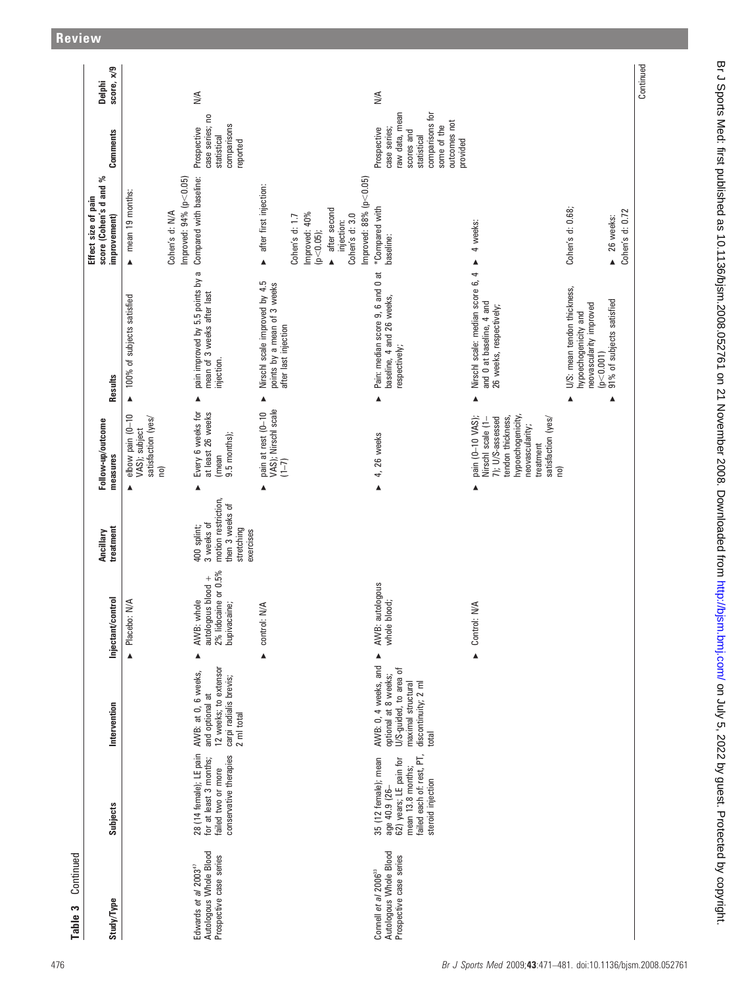| Continued<br>Table 3                                                                  |                                                                                                                                        |                                                                                                                              |                                                                          |                                                                                                |                                                                                                                                                                       |                  |                                                                                         |                                                                     |                                                                                                                                          |                             |
|---------------------------------------------------------------------------------------|----------------------------------------------------------------------------------------------------------------------------------------|------------------------------------------------------------------------------------------------------------------------------|--------------------------------------------------------------------------|------------------------------------------------------------------------------------------------|-----------------------------------------------------------------------------------------------------------------------------------------------------------------------|------------------|-----------------------------------------------------------------------------------------|---------------------------------------------------------------------|------------------------------------------------------------------------------------------------------------------------------------------|-----------------------------|
| Study/Type                                                                            | <b>Subjects</b>                                                                                                                        | Intervention                                                                                                                 | Injectant/control                                                        | treatment<br>Ancillary                                                                         | Follow-up/outcome<br>measures                                                                                                                                         | <b>Results</b>   |                                                                                         | score (Cohen's d and %<br>Effect size of pain<br>improvement)       | Comments                                                                                                                                 | score, x/9<br><b>Delphi</b> |
|                                                                                       |                                                                                                                                        |                                                                                                                              | $\mathbb{N}^{\mathbb{A}}$<br>Placebo:<br>$\blacktriangle$                |                                                                                                | elbow pain (0-10<br>satisfaction (yes/<br>VAS); subject<br>no)<br>$\blacktriangle$                                                                                    | $\blacktriangle$ | 100% of subjects satisfied                                                              | mean 19 months:<br>$\blacktriangle$                                 |                                                                                                                                          |                             |
|                                                                                       |                                                                                                                                        |                                                                                                                              |                                                                          |                                                                                                |                                                                                                                                                                       |                  |                                                                                         | Improved: $94\%$ (p<0.05)<br>Cohen's d: N/A                         |                                                                                                                                          |                             |
| Autologous Whole Blood<br>Prospective case series<br>Edwards et al 2003 <sup>47</sup> | 28 (14 female); LE pain<br>conservative therapies<br>for at least 3 months;<br>failed two or more                                      | 12 weeks; to extensor<br>AWB: at 0, 6 weeks,<br>carpi radialis brevis;<br>and optional at<br>2 ml total                      | 2% lidocaine or 0.5%<br>autologous blood +<br>AWB: whole<br>bupivacaine; | motion restriction,<br>then 3 weeks of<br>3 weeks of<br>400 splint;<br>stretching<br>exercises | Every 6 weeks for<br>at least 26 weeks<br>$9.5$ months);<br>(mean<br>$\blacktriangle$                                                                                 | ▲                | pain improved by 5.5 points by a<br>mean of 3 weeks after last<br>injection.            | Compared with baseline:                                             | case series; no<br>comparisons<br>Prospective<br>statistical<br>reported                                                                 | $\frac{4}{\sqrt{2}}$        |
|                                                                                       |                                                                                                                                        |                                                                                                                              | N/A<br>control:<br>$\blacktriangle$                                      |                                                                                                | VAS); Nirschl scale<br>pain at rest (0-10<br>$(1 - 7)$<br>$\blacktriangle$                                                                                            | ▲                | Nirschl scale improved by 4.5<br>points by a mean of 3 weeks<br>after last injection    | after first injection:<br>$\blacktriangle$                          |                                                                                                                                          |                             |
|                                                                                       |                                                                                                                                        |                                                                                                                              |                                                                          |                                                                                                |                                                                                                                                                                       |                  |                                                                                         | • after second<br>Improved: 40%<br>Cohen's d: 1.7<br>$[p < 0.05)$ ; |                                                                                                                                          |                             |
|                                                                                       |                                                                                                                                        |                                                                                                                              |                                                                          |                                                                                                |                                                                                                                                                                       |                  |                                                                                         | Improved: $88\%$ (p<0.05)<br>Cohen's d: 3.0<br>injection:           |                                                                                                                                          |                             |
| Autologous Whole Blood<br>Prospective case series<br>Connell et al 2006 <sup>33</sup> | mean 13.8 months;<br>failed each of: rest, PT,<br>35 (12 female); mean<br>62) years; LE pain for<br>steroid injection<br>age 40.9 (26- | AWB: 0, 4 weeks, and<br>U/S-guided, to area of<br>optional at 8 weeks;<br>maximal structural<br>discontinuity; 2 ml<br>total | AWB: autologous<br>whole blood;<br>▲                                     |                                                                                                | 4, 26 weeks<br>$\blacktriangle$                                                                                                                                       | $\blacktriangle$ | Pain: median score 9, 6 and 0 at<br>baseline, 4 and 26 weeks,<br>respectively;          | *Compared with<br>baseline:                                         | raw data, mean<br>comparisons for<br>outcomes not<br>some of the<br>case series;<br>Prospective<br>scores and<br>statistical<br>provided | $\mathbb{N}^{\mathbb{A}}$   |
|                                                                                       |                                                                                                                                        |                                                                                                                              | $\mathbb{N}^{\mathbb{A}}$<br>▶ Control:                                  |                                                                                                | hypoechogenicity,<br>pain (0-10 VAS);<br>tendon thickness,<br>7); U/S-assessed<br>Nirschl scale (1-<br>satisfaction (yes/<br>neovascularity;<br>treatment<br>no)<br>▲ |                  | Nirschl scale: median score 6, 4<br>and 0 at baseline, 4 and<br>26 weeks, respectively; | 4 weeks:<br>$\blacktriangle$                                        |                                                                                                                                          |                             |
|                                                                                       |                                                                                                                                        |                                                                                                                              |                                                                          |                                                                                                |                                                                                                                                                                       | $\blacktriangle$ | U/S: mean tendon thickness,<br>neovascularity improved<br>hypoechogenicity and          | Cohen's d: 0.68;                                                    |                                                                                                                                          |                             |
|                                                                                       |                                                                                                                                        |                                                                                                                              |                                                                          |                                                                                                |                                                                                                                                                                       | ▲                | (p <0.001)<br>91% of subjects satisfied                                                 | Cohen's d: 0.72<br>> 26 weeks:                                      |                                                                                                                                          |                             |
|                                                                                       |                                                                                                                                        |                                                                                                                              |                                                                          |                                                                                                |                                                                                                                                                                       |                  |                                                                                         |                                                                     |                                                                                                                                          | Continued                   |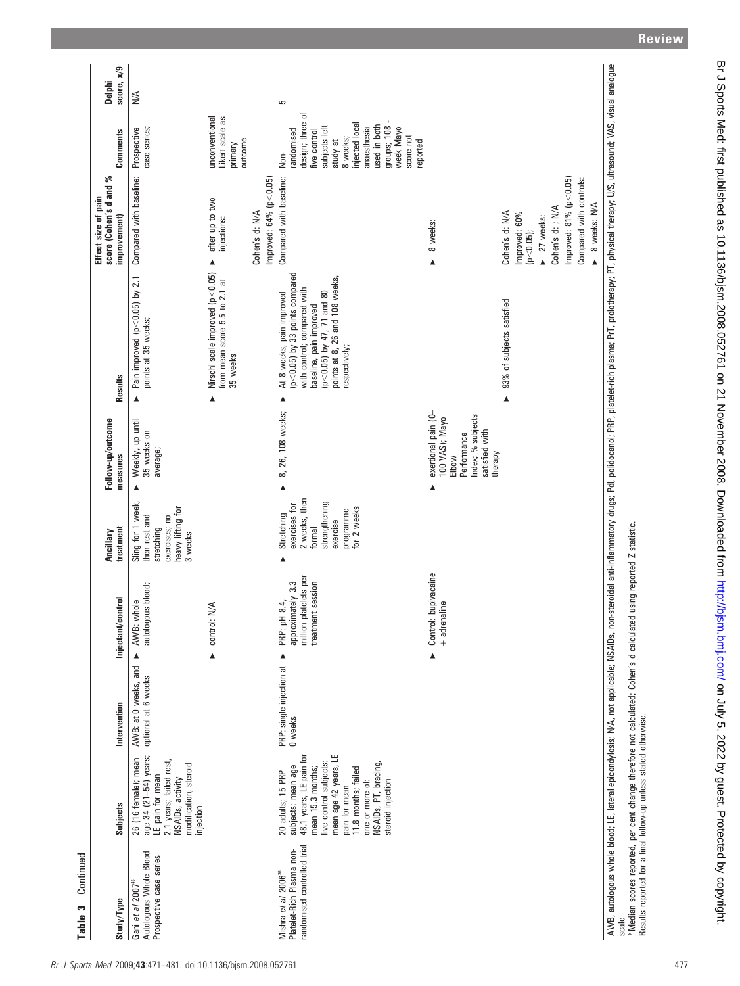| Continued<br>Table 3                                                                               |                                                                                                                                                                                                                                                    |                                                                                                                                                                                       |                                                                                   |                                                                                                                      |                                                                                                                      |                                                                                                                                                                                                                  | Effect size of pain                                         |                                                                                                                                                                                                         |                           |
|----------------------------------------------------------------------------------------------------|----------------------------------------------------------------------------------------------------------------------------------------------------------------------------------------------------------------------------------------------------|---------------------------------------------------------------------------------------------------------------------------------------------------------------------------------------|-----------------------------------------------------------------------------------|----------------------------------------------------------------------------------------------------------------------|----------------------------------------------------------------------------------------------------------------------|------------------------------------------------------------------------------------------------------------------------------------------------------------------------------------------------------------------|-------------------------------------------------------------|---------------------------------------------------------------------------------------------------------------------------------------------------------------------------------------------------------|---------------------------|
| Study/Type                                                                                         | <b>Subjects</b>                                                                                                                                                                                                                                    | Intervention                                                                                                                                                                          | Injectant/control                                                                 | treatment<br>Ancillary                                                                                               | Follow-up/outcome<br>measures                                                                                        | Results                                                                                                                                                                                                          | score (Cohen's d and %<br>improvement)                      | Comments                                                                                                                                                                                                | score, x/9<br>Delphi      |
| Autologous Whole Blood<br>Prospective case series<br>Gani et al 2007 <sup>46</sup>                 | age 34 (21-54) years;<br>26 (16 female); mean<br>LĒ pain for mean<br>2.1 years; failed rest,<br>modification, steroid<br>NSAID <sub>s</sub> , activity<br>injection                                                                                | AWB: at 0 weeks, and<br>optional at 6 weeks                                                                                                                                           | autologous blood;<br>AWB: whole                                                   | Sling for 1 week,<br>heavy lifting for<br>then rest and<br>exercises; no<br>stretching<br>3 weeks                    | Weekly, up until<br>35 weeks on<br>average;<br>$\blacktriangle$                                                      | 2.1<br>Pain improved (p<0.05) by<br>points at 35 weeks;<br>$\blacktriangle$                                                                                                                                      | Compared with baseline:                                     | case series;<br>Prospective                                                                                                                                                                             | $\mathbb{N}^{\mathbb{A}}$ |
|                                                                                                    |                                                                                                                                                                                                                                                    |                                                                                                                                                                                       | N/A<br>control:<br>$\blacktriangle$                                               |                                                                                                                      |                                                                                                                      | Nirschl scale improved (p<0.05)<br>from mean score 5.5 to 2.1 at<br>35 weeks<br>▲                                                                                                                                | after up to two<br>Cohen's d: N/A<br>injections:<br>▲       | Likert scale as<br>unconventional<br>outcome<br>primary                                                                                                                                                 |                           |
|                                                                                                    |                                                                                                                                                                                                                                                    |                                                                                                                                                                                       |                                                                                   |                                                                                                                      |                                                                                                                      |                                                                                                                                                                                                                  | Improved: $64\%$ (p<0.05)                                   |                                                                                                                                                                                                         |                           |
| randomised controlled trial<br>Mishra <i>et al</i> 2006 <sup>36</sup><br>Platelet-Rich Plasma non- | 48.1 years, LE pain for<br>mean 15.3 months;<br>mean age 42 years, LE<br>NSAIDs, PT, bracing,<br>five control subjects:<br>subjects: mean age<br>11.8 months; failed<br>20 adults; 15 PRP<br>steroid injection<br>one or more of:<br>pain for mean | $\blacktriangle$<br>PRP: single injection at<br>0 weeks                                                                                                                               | million platelets per<br>approximately 3.3<br>treatment session<br>8.4<br>PRP: pH | 2 weeks, then<br>strengthening<br>exercises for<br>for 2 weeks<br>programme<br>Stretching<br>exercise<br>formal<br>▲ | 8, 26, 108 weeks;<br>$\blacktriangle$                                                                                | $(p<0.05)$ by 33 points compared<br>points at 8, 26 and 108 weeks,<br>with control; compared with<br>$(p < 0.05)$ by 47, 71 and 80<br>At 8 weeks, pain improved<br>baseline, pain improved<br>respectively;<br>▲ | Compared with baseline:                                     | design; three of<br>groups; 108 -<br>injected local<br>used in both<br>week Mayo<br>subjects left<br>anaesthesia<br>randomised<br>five control<br>8 weeks;<br>score not<br>study at<br>reported<br>Non- | 5                         |
|                                                                                                    |                                                                                                                                                                                                                                                    |                                                                                                                                                                                       | bupivacaine<br>+ adrenaline<br>Control:<br>$\blacktriangle$                       |                                                                                                                      | exertional pain (0-<br>Index; % subjects<br>100 VAS); Mayo<br>satisfied with<br>Performance<br>therapy<br>Elbow<br>▲ |                                                                                                                                                                                                                  | 8 weeks:<br>$\blacktriangle$                                |                                                                                                                                                                                                         |                           |
|                                                                                                    |                                                                                                                                                                                                                                                    |                                                                                                                                                                                       |                                                                                   |                                                                                                                      |                                                                                                                      | 93% of subjects satisfied<br>$\blacktriangle$                                                                                                                                                                    | Cohen's d: N/A<br>Improved: 60%<br>$(p < 0.05)$ ;           |                                                                                                                                                                                                         |                           |
|                                                                                                    |                                                                                                                                                                                                                                                    |                                                                                                                                                                                       |                                                                                   |                                                                                                                      |                                                                                                                      |                                                                                                                                                                                                                  | > 27 weeks:                                                 |                                                                                                                                                                                                         |                           |
|                                                                                                    |                                                                                                                                                                                                                                                    |                                                                                                                                                                                       |                                                                                   |                                                                                                                      |                                                                                                                      |                                                                                                                                                                                                                  | Cohen's d: ; N/A                                            |                                                                                                                                                                                                         |                           |
|                                                                                                    |                                                                                                                                                                                                                                                    |                                                                                                                                                                                       |                                                                                   |                                                                                                                      |                                                                                                                      |                                                                                                                                                                                                                  | Improved: $81\%$ (p<0.05)                                   |                                                                                                                                                                                                         |                           |
|                                                                                                    |                                                                                                                                                                                                                                                    |                                                                                                                                                                                       |                                                                                   |                                                                                                                      |                                                                                                                      |                                                                                                                                                                                                                  | Compared with controls:<br>8 weeks: N/A<br>$\blacktriangle$ |                                                                                                                                                                                                         |                           |
| scale                                                                                              | Results reported for a final follow-up unless stated otherwise.                                                                                                                                                                                    | AVVB, autologous whole blood; LE, lateral epicondylosis; N/A, not applicable; NSAIDs, non-<br>*Median scores reported, per cent change therefore not calculated; Cohen's d calculated |                                                                                   | using reported Z statistic.                                                                                          |                                                                                                                      | steroidal anti-inflammatory drugs; Pdl, polidocanol; PRP, platelet-rich plasma; PrT, prolotherapy; PT, physical therapy; U/S, ultrasound; VAS, visual analogue                                                   |                                                             |                                                                                                                                                                                                         |                           |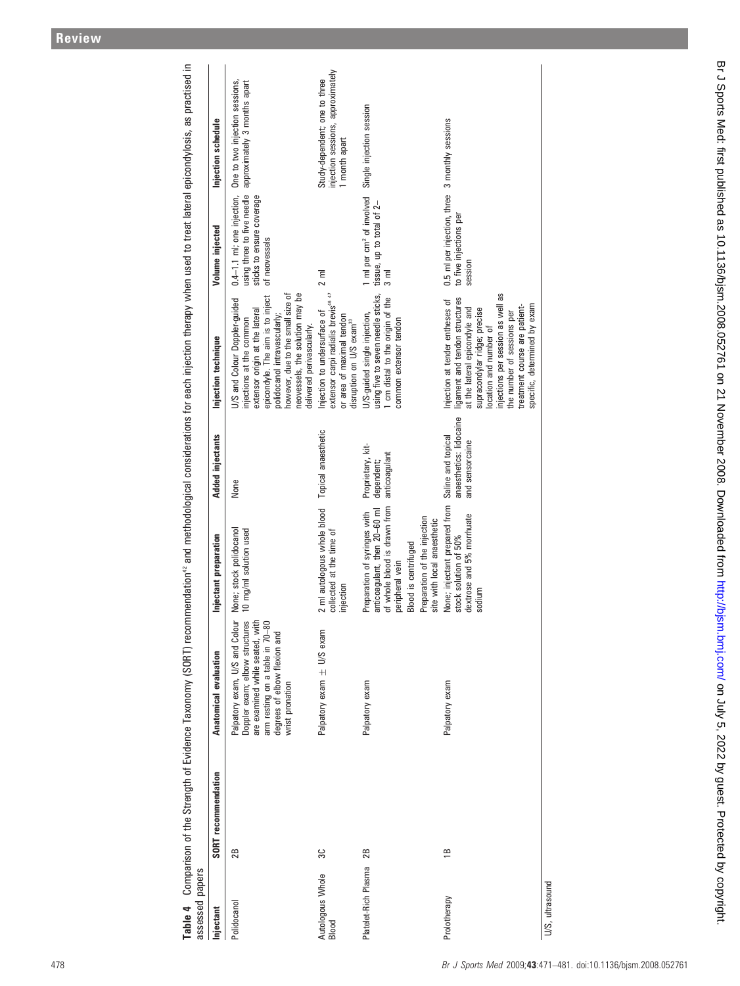| assessed papers<br>Table 4 |                     | Comparison of the Strength of Evidence Taxonomy (SORT) recommendation <sup>42</sup> and methodological considerations for each injection therapy when used to treat lateral epicondylosis, as practised in |                                                                                                                                                                                                               |                                                                  |                                                                                                                                                                                                                                                                                                  |                                                                                                          |                                                                                     |
|----------------------------|---------------------|------------------------------------------------------------------------------------------------------------------------------------------------------------------------------------------------------------|---------------------------------------------------------------------------------------------------------------------------------------------------------------------------------------------------------------|------------------------------------------------------------------|--------------------------------------------------------------------------------------------------------------------------------------------------------------------------------------------------------------------------------------------------------------------------------------------------|----------------------------------------------------------------------------------------------------------|-------------------------------------------------------------------------------------|
| Injectant                  | SORT recommendation | Anatomical evaluation                                                                                                                                                                                      | Injectant preparation                                                                                                                                                                                         | <b>Added injectants</b>                                          | Injection technique                                                                                                                                                                                                                                                                              | Volume injected                                                                                          | Injection schedule                                                                  |
| Polidocanol                | 28                  | Palpatory exam, U/S and Colour<br>Doppler exam; elbow structures<br>are examined while seated, with<br>arm resting on a table in 70-80<br>degrees of elbow flexion and<br>wrist pronation                  | None; stock polidocanol<br>10 mg/ml solution used                                                                                                                                                             | None                                                             | neovessels, the solution may be<br>nowever, due to the small size of<br>epicondyle. The aim is to inject<br>U/S and Colour Doppler-guided<br>extensor origin at the lateral<br>polidocanol intravascularly;<br>njections at the common<br>delivered perivascularly.                              | using three to five needle<br>$0.4-1.1$ ml; one injection,<br>sticks to ensure coverage<br>of neovessels | One to two injection sessions,<br>approximately 3 months apart                      |
| Autologous Whole<br>Blood  | 30                  | Palpatory exam $\pm$ U/S exam                                                                                                                                                                              | 2 ml autologous whole blood<br>collected at the time of<br>njection                                                                                                                                           | Topical anaesthetic                                              | 47<br>extensor carpi radialis brevis <sup>46</sup><br>injection to undersurface of<br>or area of maximal tendon<br>disruption on U/S exam <sup>33</sup>                                                                                                                                          | Έ<br>$\bar{\sim}$                                                                                        | injection sessions, approximately<br>Study-dependent; one to three<br>1 month apart |
| Platelet-Rich Plasma       | 28                  | Palpatory exam                                                                                                                                                                                             | of whole blood is drawn from<br>anticoagulant, then 20-60 ml<br>Preparation of syringes with<br>Preparation of the injection<br>site with local anaesthetic<br><b>Blood</b> is centrifuged<br>peripheral vein | Proprietary, kit-<br>anticoagulant<br>dependent;                 | using five to seven needle sticks,<br>I cm distal to the origin of the<br>U/S-guided single injection,<br>common extensor tendon                                                                                                                                                                 | 1 ml per cm <sup>2</sup> of involved<br>tissue, up to total of 2-<br>$\overline{3}$ m                    | Single injection session                                                            |
| Prolotherapy               | $\cong$             | Palpatory exam                                                                                                                                                                                             | None; injectant prepared from<br>dextrose and 5% morrhuate<br>stock solution of 50%<br>sodium                                                                                                                 | anaesthetics: lidocaine<br>Saline and topical<br>and sensorcaine | injections per session as well as<br>ligament and tendon structures<br>Injection at tender entheses of<br>specific, determined by exam<br>treatment course are patient-<br>at the lateral epicondyle and<br>supracondylar ridge; precise<br>the number of sessions per<br>location and number of | 0.5 ml per injection, three 3 monthly sessions<br>to five injections per<br>session                      |                                                                                     |
| U/S, ultrasound            |                     |                                                                                                                                                                                                            |                                                                                                                                                                                                               |                                                                  |                                                                                                                                                                                                                                                                                                  |                                                                                                          |                                                                                     |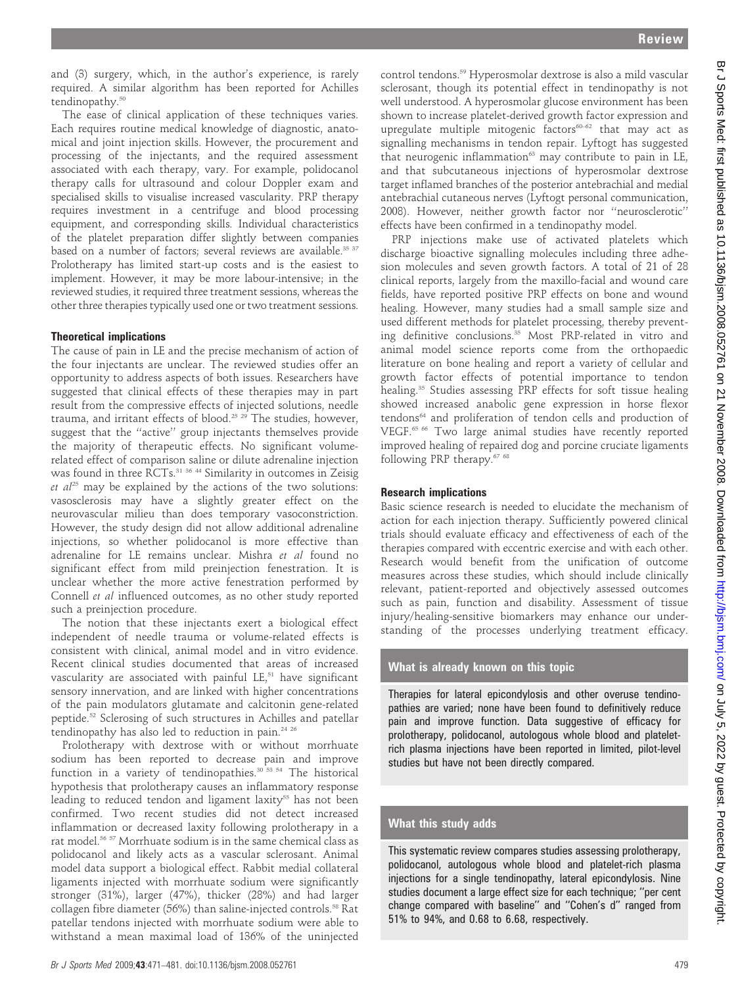and (3) surgery, which, in the author's experience, is rarely required. A similar algorithm has been reported for Achilles tendinopathy.<sup>50</sup>

The ease of clinical application of these techniques varies. Each requires routine medical knowledge of diagnostic, anatomical and joint injection skills. However, the procurement and processing of the injectants, and the required assessment associated with each therapy, vary. For example, polidocanol therapy calls for ultrasound and colour Doppler exam and specialised skills to visualise increased vascularity. PRP therapy requires investment in a centrifuge and blood processing equipment, and corresponding skills. Individual characteristics of the platelet preparation differ slightly between companies based on a number of factors; several reviews are available.<sup>35 37</sup> Prolotherapy has limited start-up costs and is the easiest to implement. However, it may be more labour-intensive; in the reviewed studies, it required three treatment sessions, whereas the other three therapies typically used one or two treatment sessions.

# Theoretical implications

The cause of pain in LE and the precise mechanism of action of the four injectants are unclear. The reviewed studies offer an opportunity to address aspects of both issues. Researchers have suggested that clinical effects of these therapies may in part result from the compressive effects of injected solutions, needle trauma, and irritant effects of blood.25 29 The studies, however, suggest that the ''active'' group injectants themselves provide the majority of therapeutic effects. No significant volumerelated effect of comparison saline or dilute adrenaline injection was found in three RCTs.<sup>31 36 44</sup> Similarity in outcomes in Zeisig et  $al^{25}$  may be explained by the actions of the two solutions: vasosclerosis may have a slightly greater effect on the neurovascular milieu than does temporary vasoconstriction. However, the study design did not allow additional adrenaline injections, so whether polidocanol is more effective than adrenaline for LE remains unclear. Mishra et al found no significant effect from mild preinjection fenestration. It is unclear whether the more active fenestration performed by Connell et al influenced outcomes, as no other study reported such a preinjection procedure.

The notion that these injectants exert a biological effect independent of needle trauma or volume-related effects is consistent with clinical, animal model and in vitro evidence. Recent clinical studies documented that areas of increased vascularity are associated with painful LE,<sup>51</sup> have significant sensory innervation, and are linked with higher concentrations of the pain modulators glutamate and calcitonin gene-related peptide.52 Sclerosing of such structures in Achilles and patellar tendinopathy has also led to reduction in pain.<sup>24 26</sup>

Prolotherapy with dextrose with or without morrhuate sodium has been reported to decrease pain and improve function in a variety of tendinopathies.<sup>30 53 54</sup> The historical hypothesis that prolotherapy causes an inflammatory response leading to reduced tendon and ligament laxity<sup>55</sup> has not been confirmed. Two recent studies did not detect increased inflammation or decreased laxity following prolotherapy in a rat model.<sup>56 57</sup> Morrhuate sodium is in the same chemical class as polidocanol and likely acts as a vascular sclerosant. Animal model data support a biological effect. Rabbit medial collateral ligaments injected with morrhuate sodium were significantly stronger (31%), larger (47%), thicker (28%) and had larger collagen fibre diameter (56%) than saline-injected controls.<sup>58</sup> Rat patellar tendons injected with morrhuate sodium were able to withstand a mean maximal load of 136% of the uninjected

control tendons.59 Hyperosmolar dextrose is also a mild vascular sclerosant, though its potential effect in tendinopathy is not well understood. A hyperosmolar glucose environment has been shown to increase platelet-derived growth factor expression and upregulate multiple mitogenic factors<sup>60-62</sup> that may act as signalling mechanisms in tendon repair. Lyftogt has suggested that neurogenic inflammation<sup>63</sup> may contribute to pain in LE, and that subcutaneous injections of hyperosmolar dextrose target inflamed branches of the posterior antebrachial and medial antebrachial cutaneous nerves (Lyftogt personal communication, 2008). However, neither growth factor nor ''neurosclerotic'' effects have been confirmed in a tendinopathy model.

PRP injections make use of activated platelets which discharge bioactive signalling molecules including three adhesion molecules and seven growth factors. A total of 21 of 28 clinical reports, largely from the maxillo-facial and wound care fields, have reported positive PRP effects on bone and wound healing. However, many studies had a small sample size and used different methods for platelet processing, thereby preventing definitive conclusions.<sup>35</sup> Most PRP-related in vitro and animal model science reports come from the orthopaedic literature on bone healing and report a variety of cellular and growth factor effects of potential importance to tendon healing.35 Studies assessing PRP effects for soft tissue healing showed increased anabolic gene expression in horse flexor tendons<sup>64</sup> and proliferation of tendon cells and production of VEGF.<sup>65 66</sup> Two large animal studies have recently reported improved healing of repaired dog and porcine cruciate ligaments following PRP therapy.<sup>67 68</sup>

## Research implications

Basic science research is needed to elucidate the mechanism of action for each injection therapy. Sufficiently powered clinical trials should evaluate efficacy and effectiveness of each of the therapies compared with eccentric exercise and with each other. Research would benefit from the unification of outcome measures across these studies, which should include clinically relevant, patient-reported and objectively assessed outcomes such as pain, function and disability. Assessment of tissue injury/healing-sensitive biomarkers may enhance our understanding of the processes underlying treatment efficacy.

#### What is already known on this topic

Therapies for lateral epicondylosis and other overuse tendinopathies are varied; none have been found to definitively reduce pain and improve function. Data suggestive of efficacy for prolotherapy, polidocanol, autologous whole blood and plateletrich plasma injections have been reported in limited, pilot-level studies but have not been directly compared.

# What this study adds

This systematic review compares studies assessing prolotherapy, polidocanol, autologous whole blood and platelet-rich plasma injections for a single tendinopathy, lateral epicondylosis. Nine studies document a large effect size for each technique; ''per cent change compared with baseline'' and ''Cohen's d'' ranged from 51% to 94%, and 0.68 to 6.68, respectively.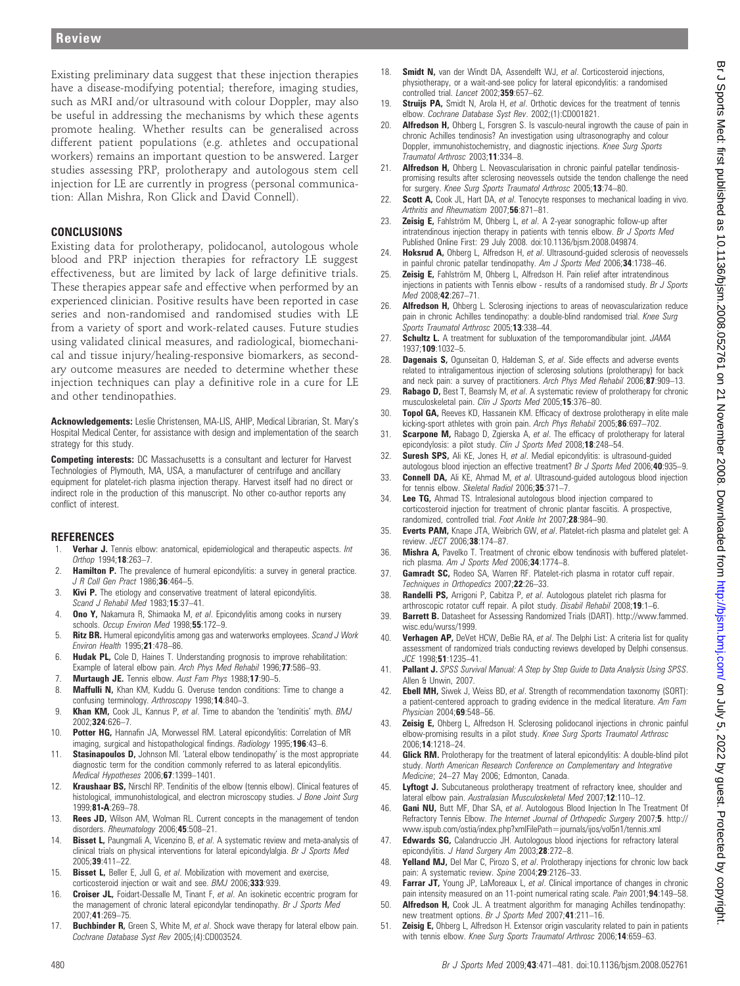Existing preliminary data suggest that these injection therapies have a disease-modifying potential; therefore, imaging studies, such as MRI and/or ultrasound with colour Doppler, may also be useful in addressing the mechanisms by which these agents promote healing. Whether results can be generalised across different patient populations (e.g. athletes and occupational workers) remains an important question to be answered. Larger studies assessing PRP, prolotherapy and autologous stem cell injection for LE are currently in progress (personal communication: Allan Mishra, Ron Glick and David Connell).

## **CONCLUSIONS**

Existing data for prolotherapy, polidocanol, autologous whole blood and PRP injection therapies for refractory LE suggest effectiveness, but are limited by lack of large definitive trials. These therapies appear safe and effective when performed by an experienced clinician. Positive results have been reported in case series and non-randomised and randomised studies with LE from a variety of sport and work-related causes. Future studies using validated clinical measures, and radiological, biomechanical and tissue injury/healing-responsive biomarkers, as secondary outcome measures are needed to determine whether these injection techniques can play a definitive role in a cure for LE and other tendinopathies.

Acknowledgements: Leslie Christensen, MA-LIS, AHIP, Medical Librarian, St. Mary's Hospital Medical Center, for assistance with design and implementation of the search strategy for this study.

**Competing interests:** DC Massachusetts is a consultant and lecturer for Harvest Technologies of Plymouth, MA, USA, a manufacturer of centrifuge and ancillary equipment for platelet-rich plasma injection therapy. Harvest itself had no direct or indirect role in the production of this manuscript. No other co-author reports any conflict of interest.

#### REFERENCES

- Verhar J. Tennis elbow: anatomical, epidemiological and therapeutic aspects. Int Orthop 1994;18:263–7.
- 2. Hamilton P. The prevalence of humeral epicondylitis: a survey in general practice. J R Coll Gen Pract 1986;36:464–5.
- 3. Kivi P. The etiology and conservative treatment of lateral epicondylitis. Scand J Rehabil Med 1983;15:37–41.
- 4. Ono Y, Nakamura R, Shimaoka M, et al. Epicondylitis among cooks in nursery schools. Occup Environ Med 1998;55:172-9.
- 5. Ritz BR. Humeral epicondylitis among gas and waterworks employees. Scand J Work Environ Health 1995;21:478–86.
- 6. Hudak PL, Cole D, Haines T. Understanding prognosis to improve rehabilitation: Example of lateral elbow pain. Arch Phys Med Rehabil 1996;77:586–93.
- 7. Murtaugh JE. Tennis elbow. Aust Fam Phys 1988;17:90-5.
- 8. **Maffulli N,** Khan KM, Kuddu G. Overuse tendon conditions: Time to change a confusing terminology. Arthroscopy 1998;14:840-3.
- 9. Khan KM, Cook JL, Kannus P, et al. Time to abandon the 'tendinitis' myth. BMJ 2002;324:626–7.
- 10. Potter HG, Hannafin JA, Morwessel RM. Lateral epicondylitis: Correlation of MR imaging, surgical and histopathological findings. Radiology 1995;196:43-6.
- 11. Stasinapoulos D, Johnson MI. 'Lateral elbow tendinopathy' is the most appropriate diagnostic term for the condition commonly referred to as lateral epicondylitis. Medical Hypotheses 2006;67:1399–1401.
- 12. **Kraushaar BS.** Nirschl RP. Tendinitis of the elbow (tennis elbow). Clinical features of histological, immunohistological, and electron microscopy studies. J Bone Joint Surg 1999;81-A:269–78.
- 13. Rees JD, Wilson AM, Wolman RL. Current concepts in the management of tendon disorders. Rheumatology 2006;45:508-21.
- 14. Bisset L, Paungmali A, Vicenzino B, et al. A systematic review and meta-analysis of clinical trials on physical interventions for lateral epicondylalgia. Br J Sports Med 2005;39:411–22.
- 15. Bisset L, Beller E, Jull G, et al. Mobilization with movement and exercise, corticosteroid injection or wait and see. BMJ 2006;333:939.
- 16. Croiser JL, Foidart-Dessalle M, Tinant F, et al. An isokinetic eccentric program for the management of chronic lateral epicondylar tendinopathy. Br J Sports Med 2007;41:269–75.
- 17. Buchbinder R, Green S, White M, et al. Shock wave therapy for lateral elbow pain. Cochrane Database Syst Rev 2005;(4):CD003524.
- 18. Smidt N, van der Windt DA, Assendelft WJ, et al. Corticosteroid injections, physiotherapy, or a wait-and-see policy for lateral epicondylitis: a randomised controlled trial. Lancet 2002;359:657–62.
- 19. Struijs PA, Smidt N, Arola H, et al. Orthotic devices for the treatment of tennis elbow. Cochrane Database Syst Rev. 2002;(1):CD001821.
- 20. **Alfredson H,** Ohberg L, Forsgren S. Is vasculo-neural ingrowth the cause of pain in chronic Achilles tendinosis? An investigation using ultrasonography and colour Doppler, immunohistochemistry, and diagnostic injections. Knee Surg Sports Traumatol Arthrosc 2003;11:334–8.
- 21. **Alfredson H,** Ohberg L. Neovascularisation in chronic painful patellar tendinosispromising results after sclerosing neovessels outside the tendon challenge the need for surgery. Knee Surg Sports Traumatol Arthrosc 2005;13:74–80.
- 22. Scott A, Cook JL, Hart DA, et al. Tenocyte responses to mechanical loading in vivo. Arthritis and Rheumatism 2007;56:871-81.
- 23. **Zeisig E,** Fahlström M, Ohberg L, et al. A 2-year sonographic follow-up after intratendinous injection therapy in patients with tennis elbow. Br J Sports Med Published Online First: 29 July 2008. doi:10.1136/bjsm.2008.049874.
- Hoksrud A, Ohberg L, Alfredson H, et al. Ultrasound-guided sclerosis of neovessels in painful chronic patellar tendinopathy. Am J Sports Med 2006;34:1738-46.
- 25. Zeisig E, Fahlström M, Ohberg L, Alfredson H. Pain relief after intratendinous injections in patients with Tennis elbow - results of a randomised study. Br J Sports Med 2008;42:267–71.
- 26. Alfredson H, Ohberg L. Sclerosing injections to areas of neovascularization reduce pain in chronic Achilles tendinopathy: a double-blind randomised trial. Knee Surg Sports Traumatol Arthrosc 2005;13:338-44.
- Schultz L. A treatment for subluxation of the temporomandibular joint. JAMA 1937;109:1032–5.
- 28. Dagenais S, Ogunseitan O, Haldeman S, et al. Side effects and adverse events related to intraligamentous injection of sclerosing solutions (prolotherapy) for back and neck pain: a survey of practitioners. Arch Phys Med Rehabil 2006;87:909–13.
- 29. Rabago D, Best T, Beamsly M, et al. A systematic review of prolotherapy for chronic musculoskeletal pain. Clin J Sports Med 2005:15:376-80.
- 30. Topol GA, Reeves KD, Hassanein KM. Efficacy of dextrose prolotherapy in elite male kicking-sport athletes with groin pain. Arch Phys Rehabil 2005;86:697-702.
- 31. Scarpone M, Rabago D, Zgierska A, et al. The efficacy of prolotherapy for lateral epicondylosis: a pilot study. Clin J Sports Med 2008;18:248-54.
- 32. Suresh SPS, Ali KE, Jones H, et al. Medial epicondylitis: is ultrasound-guided autologous blood injection an effective treatment? Br J Sports Med 2006;40:935-9.
- 33. **Connell DA,** Ali KE, Ahmad M, et al. Ultrasound-guided autologous blood injection for tennis elbow. Skeletal Radiol 2006;35:371–7.
- 34. Lee TG, Ahmad TS. Intralesional autologous blood injection compared to corticosteroid injection for treatment of chronic plantar fasciitis. A prospective, randomized, controlled trial. Foot Ankle Int 2007;28:984–90.
- 35. Everts PAM, Knape JTA, Weibrich GW, et al. Platelet-rich plasma and platelet gel: A review. JECT 2006;38:174–87.
- 36. Mishra A, Pavelko T. Treatment of chronic elbow tendinosis with buffered plateletrich plasma. Am J Sports Med 2006;34:1774-8.
- 37. Gamradt SC, Rodeo SA, Warren RF. Platelet-rich plasma in rotator cuff repair. Techniques in Orthopedics 2007;22:26–33.
- 38. Randelli PS, Arrigoni P, Cabitza P, et al. Autologous platelet rich plasma for arthroscopic rotator cuff repair. A pilot study. Disabil Rehabil 2008;19:1–6.
- 39. Barrett B. Datasheet for Assessing Randomized Trials (DART). http://www.fammed. wisc.edu/wurss/1999.
- 40. Verhagen AP, DeVet HCW, DeBie RA, et al. The Delphi List: A criteria list for quality assessment of randomized trials conducting reviews developed by Delphi consensus. JCE 1998;51:1235–41.
- 41. Pallant J. SPSS Survival Manual: A Step by Step Guide to Data Analysis Using SPSS. Allen & Unwin, 2007.
- 42. Ebell MH, Siwek J, Weiss BD, et al. Strength of recommendation taxonomy (SORT): a patient-centered approach to grading evidence in the medical literature. Am Fam Physician 2004;69:548–56.
- 43. **Zeisig E,** Ohberg L, Alfredson H. Sclerosing polidocanol injections in chronic painful elbow-promising results in a pilot study. Knee Surg Sports Traumatol Arthrosc 2006;14:1218–24.
- Glick RM. Prolotherapy for the treatment of lateral epicondylitis: A double-blind pilot study. North American Research Conference on Complementary and Integrative Medicine; 24–27 May 2006; Edmonton, Canada.
- 45. Lyftogt J. Subcutaneous prolotherapy treatment of refractory knee, shoulder and lateral elbow pain. Australasian Musculoskeletal Med 2007;12:110-12.
- 46. **Gani NU, Butt MF, Dhar SA, et al. Autologous Blood Injection In The Treatment Of** Refractory Tennis Elbow. The Internet Journal of Orthopedic Surgery 2007;5. http:// www.ispub.com/ostia/index.php?xmlFilePath=journals/ijos/vol5n1/tennis.xml
- 47. Edwards SG, Calandruccio JH. Autologous blood injections for refractory lateral epicondylitis. J Hand Surgery Am 2003;28:272-8.
- 48. **Yelland MJ,** Del Mar C, Pirozo S, et al. Prolotherapy injections for chronic low back pain: A systematic review. Spine 2004;29:2126-33.
- 49. **Farrar JT,** Young JP, LaMoreaux L, et al. Clinical importance of changes in chronic pain intensity measured on an 11-point numerical rating scale. Pain 2001;94:149-58.
- 50. **Alfredson H,** Cook JL. A treatment algorithm for managing Achilles tendinopathy: new treatment options. Br J Sports Med 2007;41:211-16.
- 51. **Zeisig E,** Ohberg L, Alfredson H. Extensor origin vascularity related to pain in patients with tennis elbow. Knee Surg Sports Traumatol Arthrosc 2006;14:659–63.